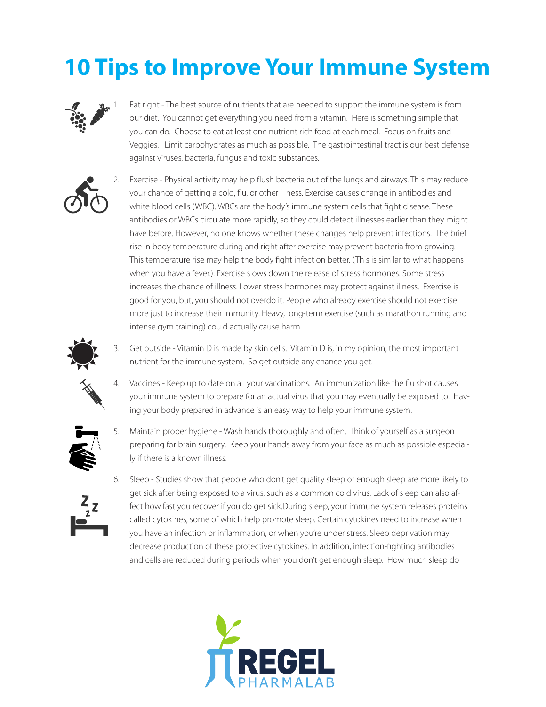## **10 Tips to Improve Your Immune System**



Eat right - The best source of nutrients that are needed to support the immune system is from our diet. You cannot get everything you need from a vitamin. Here is something simple that you can do. Choose to eat at least one nutrient rich food at each meal. Focus on fruits and Veggies. Limit carbohydrates as much as possible. The gastrointestinal tract is our best defense against viruses, bacteria, fungus and toxic substances.



2. Exercise - Physical activity may help flush bacteria out of the lungs and airways. This may reduce your chance of getting a cold, flu, or other illness. Exercise causes change in antibodies and white blood cells (WBC). WBCs are the body's immune system cells that fight disease. These antibodies or WBCs circulate more rapidly, so they could detect illnesses earlier than they might have before. However, no one knows whether these changes help prevent infections. The brief rise in body temperature during and right after exercise may prevent bacteria from growing. This temperature rise may help the body fight infection better. (This is similar to what happens when you have a fever.). Exercise slows down the release of stress hormones. Some stress increases the chance of illness. Lower stress hormones may protect against illness. Exercise is good for you, but, you should not overdo it. People who already exercise should not exercise more just to increase their immunity. Heavy, long-term exercise (such as marathon running and intense gym training) could actually cause harm



3. Get outside - Vitamin D is made by skin cells. Vitamin D is, in my opinion, the most important nutrient for the immune system. So get outside any chance you get.





5. Maintain proper hygiene - Wash hands thoroughly and often. Think of yourself as a surgeon preparing for brain surgery. Keep your hands away from your face as much as possible especially if there is a known illness.



6. Sleep - Studies show that people who don't get quality sleep or enough sleep are more likely to get sick after being exposed to a virus, such as a common cold virus. Lack of sleep can also affect how fast you recover if you do get sick.During sleep, your immune system releases proteins called cytokines, some of which help promote sleep. Certain cytokines need to increase when you have an infection or inflammation, or when you're under stress. Sleep deprivation may decrease production of these protective cytokines. In addition, infection-fighting antibodies and cells are reduced during periods when you don't get enough sleep. How much sleep do